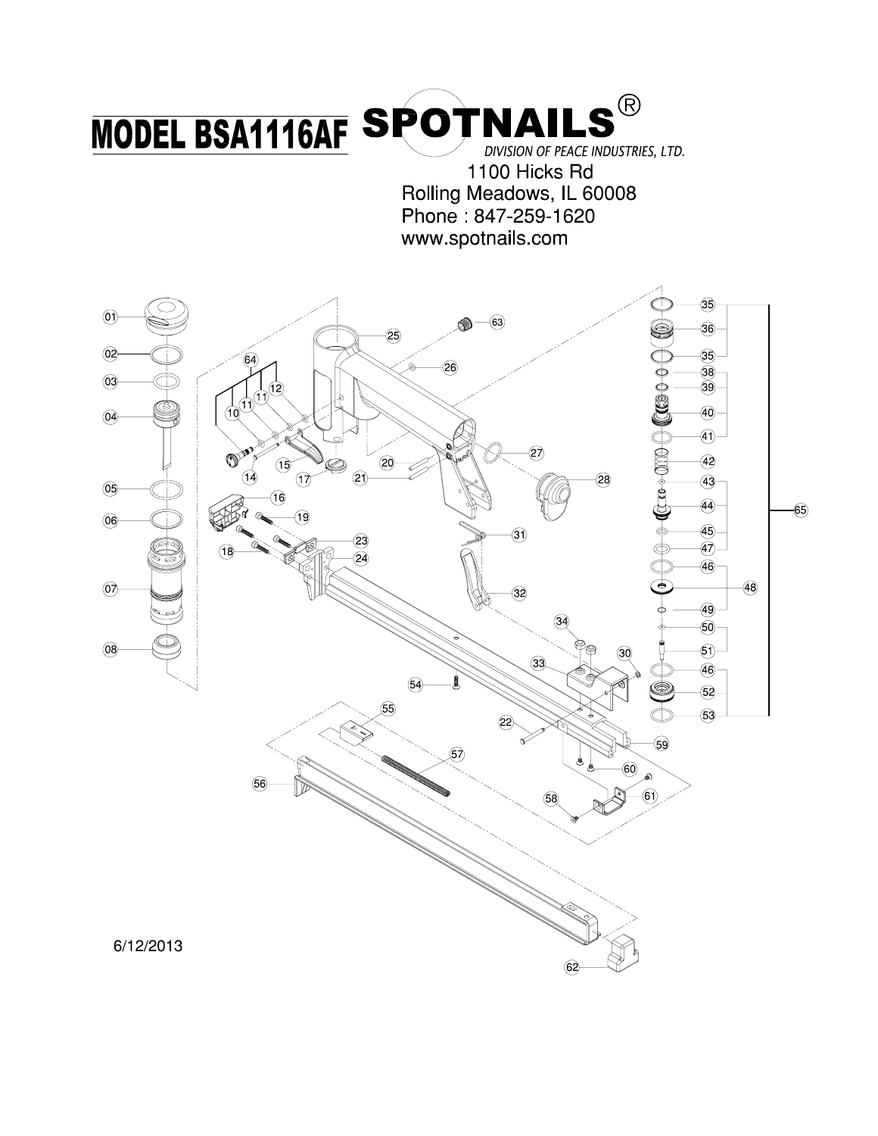